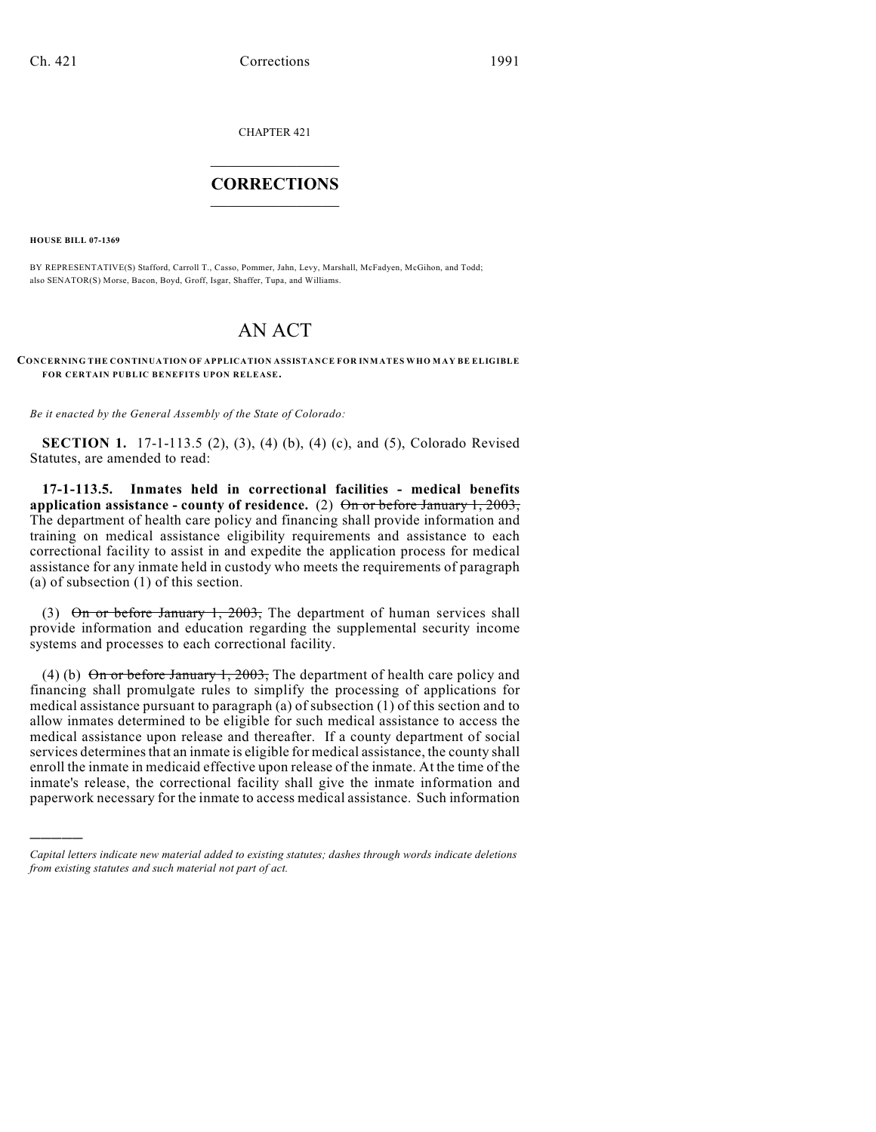CHAPTER 421

## $\overline{\phantom{a}}$  . The set of the set of the set of the set of the set of the set of the set of the set of the set of the set of the set of the set of the set of the set of the set of the set of the set of the set of the set o **CORRECTIONS**  $\frac{1}{2}$  ,  $\frac{1}{2}$  ,  $\frac{1}{2}$  ,  $\frac{1}{2}$  ,  $\frac{1}{2}$  ,  $\frac{1}{2}$

**HOUSE BILL 07-1369**

)))))

BY REPRESENTATIVE(S) Stafford, Carroll T., Casso, Pommer, Jahn, Levy, Marshall, McFadyen, McGihon, and Todd; also SENATOR(S) Morse, Bacon, Boyd, Groff, Isgar, Shaffer, Tupa, and Williams.

## AN ACT

**CONCERNING THE CONTINUATION OF APPLICATION ASSISTANCE FOR INMATES WHO M AY BE ELIGIBLE FOR CERTAIN PUBLIC BENEFITS UPON RELEASE.**

*Be it enacted by the General Assembly of the State of Colorado:*

**SECTION 1.** 17-1-113.5 (2), (3), (4) (b), (4) (c), and (5), Colorado Revised Statutes, are amended to read:

**17-1-113.5. Inmates held in correctional facilities - medical benefits application assistance - county of residence.** (2) On or before January 1, 2003, The department of health care policy and financing shall provide information and training on medical assistance eligibility requirements and assistance to each correctional facility to assist in and expedite the application process for medical assistance for any inmate held in custody who meets the requirements of paragraph (a) of subsection (1) of this section.

(3) On or before January 1, 2003, The department of human services shall provide information and education regarding the supplemental security income systems and processes to each correctional facility.

(4) (b)  $\Theta$ n or before January 1, 2003, The department of health care policy and financing shall promulgate rules to simplify the processing of applications for medical assistance pursuant to paragraph (a) of subsection (1) of this section and to allow inmates determined to be eligible for such medical assistance to access the medical assistance upon release and thereafter. If a county department of social services determines that an inmate is eligible for medical assistance, the county shall enroll the inmate in medicaid effective upon release of the inmate. At the time of the inmate's release, the correctional facility shall give the inmate information and paperwork necessary for the inmate to access medical assistance. Such information

*Capital letters indicate new material added to existing statutes; dashes through words indicate deletions from existing statutes and such material not part of act.*